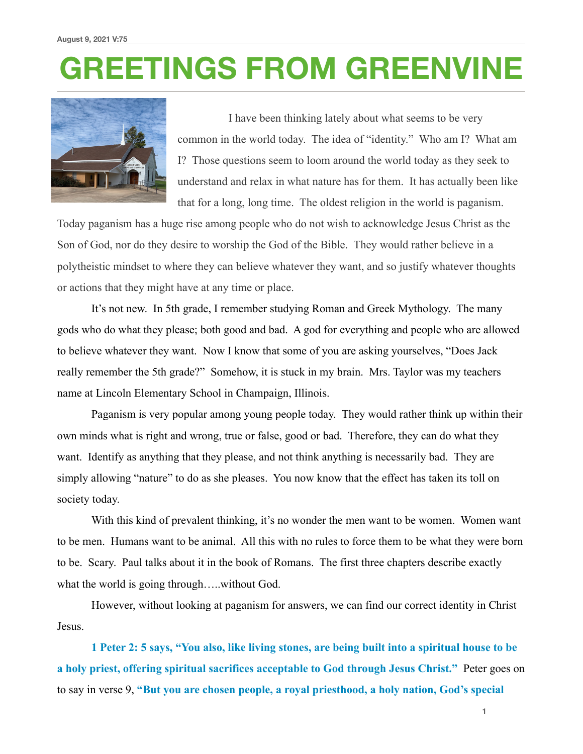# **GREETINGS FROM GREENVINE**



 I have been thinking lately about what seems to be very common in the world today. The idea of "identity." Who am I? What am I? Those questions seem to loom around the world today as they seek to understand and relax in what nature has for them. It has actually been like that for a long, long time. The oldest religion in the world is paganism.

Today paganism has a huge rise among people who do not wish to acknowledge Jesus Christ as the Son of God, nor do they desire to worship the God of the Bible. They would rather believe in a polytheistic mindset to where they can believe whatever they want, and so justify whatever thoughts or actions that they might have at any time or place.

 It's not new. In 5th grade, I remember studying Roman and Greek Mythology. The many gods who do what they please; both good and bad. A god for everything and people who are allowed to believe whatever they want. Now I know that some of you are asking yourselves, "Does Jack really remember the 5th grade?" Somehow, it is stuck in my brain. Mrs. Taylor was my teachers name at Lincoln Elementary School in Champaign, Illinois.

 Paganism is very popular among young people today. They would rather think up within their own minds what is right and wrong, true or false, good or bad. Therefore, they can do what they want. Identify as anything that they please, and not think anything is necessarily bad. They are simply allowing "nature" to do as she pleases. You now know that the effect has taken its toll on society today.

With this kind of prevalent thinking, it's no wonder the men want to be women. Women want to be men. Humans want to be animal. All this with no rules to force them to be what they were born to be. Scary. Paul talks about it in the book of Romans. The first three chapters describe exactly what the world is going through.....without God.

 However, without looking at paganism for answers, we can find our correct identity in Christ Jesus.

**1 Peter 2: 5 says, "You also, like living stones, are being built into a spiritual house to be a holy priest, offering spiritual sacrifices acceptable to God through Jesus Christ."** Peter goes on to say in verse 9, **"But you are chosen people, a royal priesthood, a holy nation, God's special** 

**1**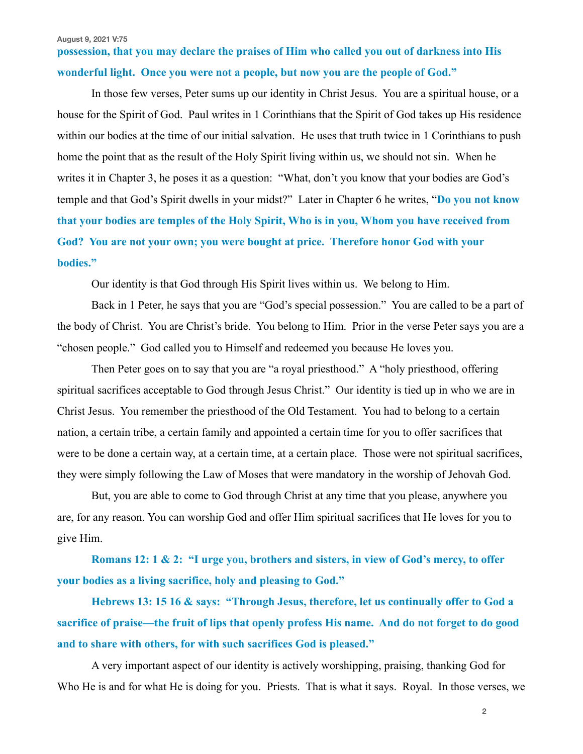**August 9, 2021 V:75**

## **possession, that you may declare the praises of Him who called you out of darkness into His wonderful light. Once you were not a people, but now you are the people of God."**

 In those few verses, Peter sums up our identity in Christ Jesus. You are a spiritual house, or a house for the Spirit of God. Paul writes in 1 Corinthians that the Spirit of God takes up His residence within our bodies at the time of our initial salvation. He uses that truth twice in 1 Corinthians to push home the point that as the result of the Holy Spirit living within us, we should not sin. When he writes it in Chapter 3, he poses it as a question: "What, don't you know that your bodies are God's temple and that God's Spirit dwells in your midst?" Later in Chapter 6 he writes, "**Do you not know that your bodies are temples of the Holy Spirit, Who is in you, Whom you have received from God? You are not your own; you were bought at price. Therefore honor God with your bodies."** 

Our identity is that God through His Spirit lives within us. We belong to Him.

 Back in 1 Peter, he says that you are "God's special possession." You are called to be a part of the body of Christ. You are Christ's bride. You belong to Him. Prior in the verse Peter says you are a "chosen people." God called you to Himself and redeemed you because He loves you.

 Then Peter goes on to say that you are "a royal priesthood." A "holy priesthood, offering spiritual sacrifices acceptable to God through Jesus Christ." Our identity is tied up in who we are in Christ Jesus. You remember the priesthood of the Old Testament. You had to belong to a certain nation, a certain tribe, a certain family and appointed a certain time for you to offer sacrifices that were to be done a certain way, at a certain time, at a certain place. Those were not spiritual sacrifices, they were simply following the Law of Moses that were mandatory in the worship of Jehovah God.

 But, you are able to come to God through Christ at any time that you please, anywhere you are, for any reason. You can worship God and offer Him spiritual sacrifices that He loves for you to give Him.

**Romans 12: 1 & 2: "I urge you, brothers and sisters, in view of God's mercy, to offer your bodies as a living sacrifice, holy and pleasing to God."** 

 **Hebrews 13: 15 16 & says: "Through Jesus, therefore, let us continually offer to God a sacrifice of praise—the fruit of lips that openly profess His name. And do not forget to do good and to share with others, for with such sacrifices God is pleased."** 

 A very important aspect of our identity is actively worshipping, praising, thanking God for Who He is and for what He is doing for you. Priests. That is what it says. Royal. In those verses, we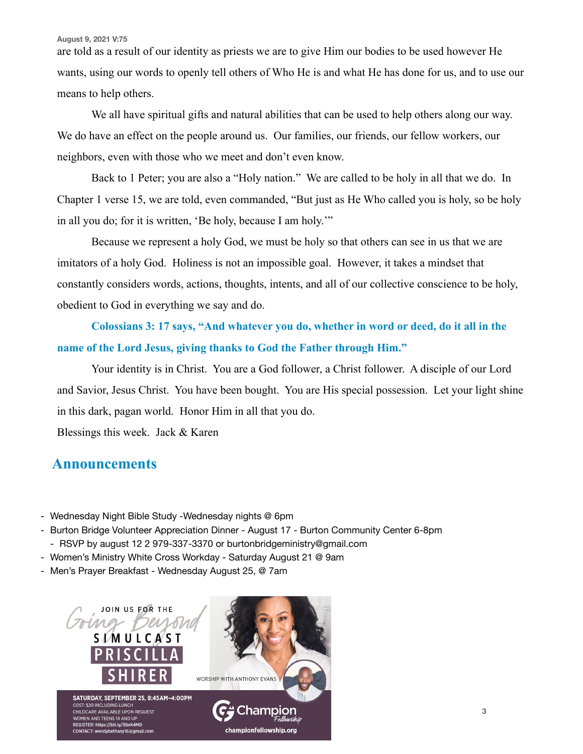#### **August 9, 2021 V:75**

are told as a result of our identity as priests we are to give Him our bodies to be used however He wants, using our words to openly tell others of Who He is and what He has done for us, and to use our means to help others.

 We all have spiritual gifts and natural abilities that can be used to help others along our way. We do have an effect on the people around us. Our families, our friends, our fellow workers, our neighbors, even with those who we meet and don't even know.

 Back to 1 Peter; you are also a "Holy nation." We are called to be holy in all that we do. In Chapter 1 verse 15, we are told, even commanded, "But just as He Who called you is holy, so be holy in all you do; for it is written, 'Be holy, because I am holy.'"

 Because we represent a holy God, we must be holy so that others can see in us that we are imitators of a holy God. Holiness is not an impossible goal. However, it takes a mindset that constantly considers words, actions, thoughts, intents, and all of our collective conscience to be holy, obedient to God in everything we say and do.

**Colossians 3: 17 says, "And whatever you do, whether in word or deed, do it all in the name of the Lord Jesus, giving thanks to God the Father through Him."** 

 Your identity is in Christ. You are a God follower, a Christ follower. A disciple of our Lord and Savior, Jesus Christ. You have been bought. You are His special possession. Let your light shine in this dark, pagan world. Honor Him in all that you do.

Blessings this week. Jack & Karen

### **Announcements**

- Wednesday Night Bible Study -Wednesday nights @ 6pm
- Burton Bridge Volunteer Appreciation Dinner August 17 Burton Community Center 6-8pm - RSVP by august 12 2 979-337-3370 or burtonbridgeministry@gmail.com
- Women's Ministry White Cross Workday Saturday August 21 @ 9am
- Men's Prayer Breakfast Wednesday August 25, @ 7am